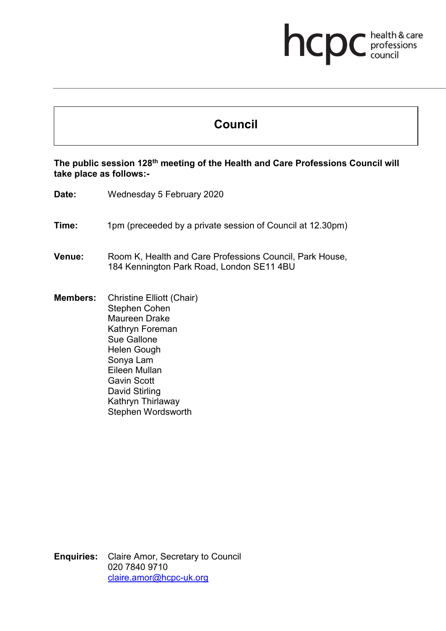## **health & care**

## **Council**

## **The public session 128th meeting of the Health and Care Professions Council will take place as follows:-**

- **Date:** Wednesday 5 February 2020
- **Time:** 1pm (preceeded by a private session of Council at 12.30pm)
- **Venue:** Room K, Health and Care Professions Council, Park House, 184 Kennington Park Road, London SE11 4BU
- **Members:** Christine Elliott (Chair) Stephen Cohen Maureen Drake Kathryn Foreman Sue Gallone Helen Gough Sonya Lam Eileen Mullan Gavin Scott David Stirling Kathryn Thirlaway Stephen Wordsworth

**Enquiries:** Claire Amor, Secretary to Council 020 7840 9710 [claire.amor@hcpc-uk.org](mailto:claire.amor@hcpc-uk.org)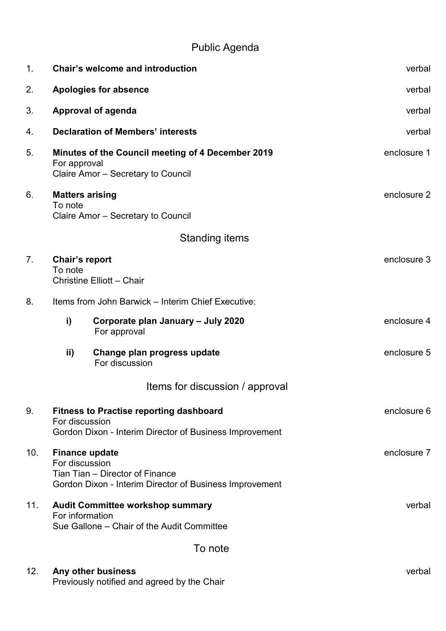## Public Agenda

| 1.              | <b>Chair's welcome and introduction</b>                                                                                                              |                                                          | verbal      |
|-----------------|------------------------------------------------------------------------------------------------------------------------------------------------------|----------------------------------------------------------|-------------|
| 2.              | <b>Apologies for absence</b>                                                                                                                         |                                                          | verbal      |
| 3.              | <b>Approval of agenda</b>                                                                                                                            |                                                          | verbal      |
| 4.              | <b>Declaration of Members' interests</b>                                                                                                             |                                                          | verbal      |
| 5.              | For approval<br>Claire Amor - Secretary to Council                                                                                                   | <b>Minutes of the Council meeting of 4 December 2019</b> | enclosure 1 |
| 6.              | <b>Matters arising</b><br>To note<br>Claire Amor - Secretary to Council                                                                              |                                                          | enclosure 2 |
|                 |                                                                                                                                                      | <b>Standing items</b>                                    |             |
| 7.              | Chair's report<br>To note<br><b>Christine Elliott - Chair</b>                                                                                        |                                                          | enclosure 3 |
| 8.              | Items from John Barwick - Interim Chief Executive:                                                                                                   |                                                          |             |
|                 | i)<br>For approval                                                                                                                                   | Corporate plan January - July 2020                       | enclosure 4 |
|                 | ii)<br>For discussion                                                                                                                                | Change plan progress update                              | enclosure 5 |
|                 |                                                                                                                                                      | Items for discussion / approval                          |             |
| 9.              | <b>Fitness to Practise reporting dashboard</b><br>For discussion<br>Gordon Dixon - Interim Director of Business Improvement                          |                                                          | enclosure 6 |
| 10 <sub>1</sub> | enclosure 7<br><b>Finance update</b><br>For discussion<br>Tian Tian - Director of Finance<br>Gordon Dixon - Interim Director of Business Improvement |                                                          |             |
| 11.             | <b>Audit Committee workshop summary</b><br>verbal<br>For information<br>Sue Gallone – Chair of the Audit Committee                                   |                                                          |             |
|                 |                                                                                                                                                      | To note                                                  |             |
| 12.             | Any other business                                                                                                                                   |                                                          | verbal      |

Previously notified and agreed by the Chair